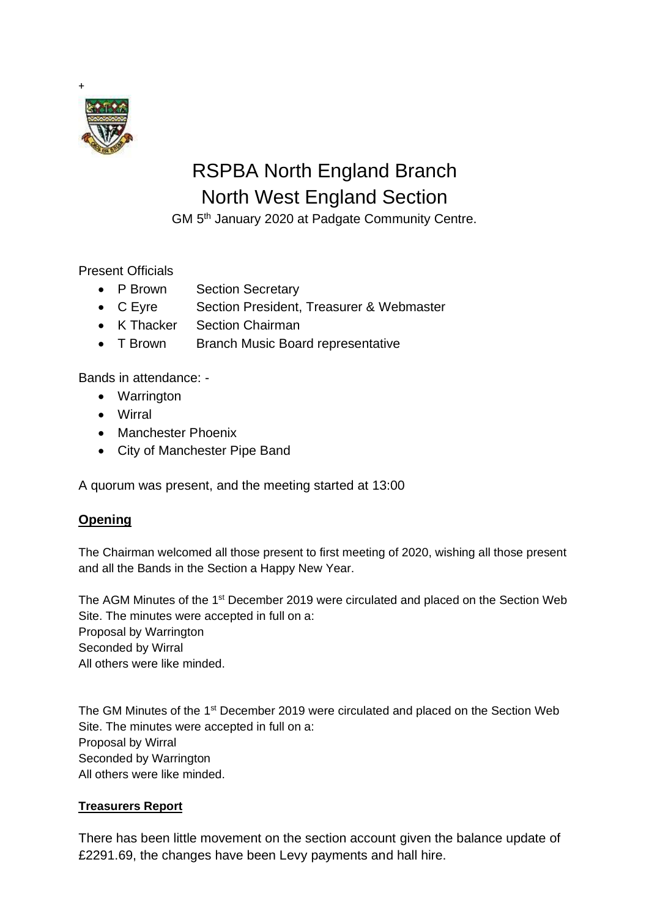

# RSPBA North England Branch North West England Section

GM 5<sup>th</sup> January 2020 at Padgate Community Centre.

## Present Officials

- P Brown Section Secretary
- C Evre Section President, Treasurer & Webmaster
- K Thacker Section Chairman
- T Brown Branch Music Board representative

Bands in attendance: -

- Warrington
- Wirral
- Manchester Phoenix
- City of Manchester Pipe Band

A quorum was present, and the meeting started at 13:00

## **Opening**

The Chairman welcomed all those present to first meeting of 2020, wishing all those present and all the Bands in the Section a Happy New Year.

The AGM Minutes of the 1<sup>st</sup> December 2019 were circulated and placed on the Section Web Site. The minutes were accepted in full on a: Proposal by Warrington Seconded by Wirral All others were like minded.

The GM Minutes of the 1<sup>st</sup> December 2019 were circulated and placed on the Section Web Site. The minutes were accepted in full on a: Proposal by Wirral Seconded by Warrington All others were like minded.

## **Treasurers Report**

There has been little movement on the section account given the balance update of £2291.69, the changes have been Levy payments and hall hire.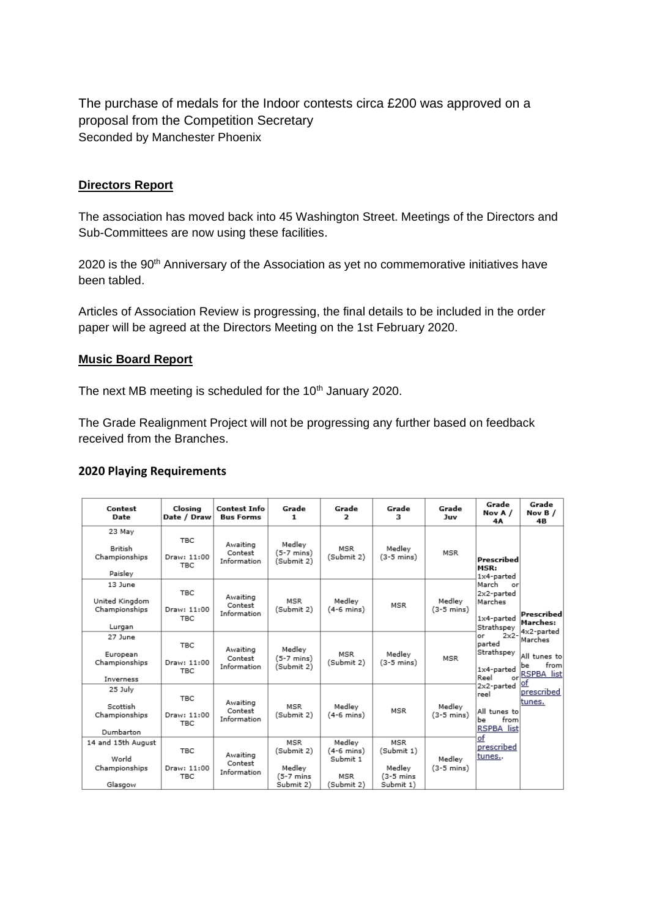The purchase of medals for the Indoor contests circa £200 was approved on a proposal from the Competition Secretary Seconded by Manchester Phoenix

### **Directors Report**

The association has moved back into 45 Washington Street. Meetings of the Directors and Sub-Committees are now using these facilities.

2020 is the 90<sup>th</sup> Anniversary of the Association as yet no commemorative initiatives have been tabled.

Articles of Association Review is progressing, the final details to be included in the order paper will be agreed at the Directors Meeting on the 1st February 2020.

#### **Music Board Report**

The next MB meeting is scheduled for the 10<sup>th</sup> January 2020.

The Grade Realignment Project will not be progressing any further based on feedback received from the Branches.

#### **2020 Playing Requirements**

| Contest<br>Date                                         | Closing<br>Date / Draw                  | <b>Contest Info</b><br><b>Bus Forms</b> | Grade<br>1                                                   | Grade<br>$\overline{ }$                               | Grade<br>з                                                   | Grade<br>Juv         | Grade<br>Nov A /<br>4A                                                                                                                                                                                                                            | Grade<br>Nov B /<br>4B                                                                                                     |
|---------------------------------------------------------|-----------------------------------------|-----------------------------------------|--------------------------------------------------------------|-------------------------------------------------------|--------------------------------------------------------------|----------------------|---------------------------------------------------------------------------------------------------------------------------------------------------------------------------------------------------------------------------------------------------|----------------------------------------------------------------------------------------------------------------------------|
| 23 May<br>British<br>Championships<br>Paisley           | <b>TBC</b><br>Draw: 11:00<br><b>TBC</b> | Awaiting<br>Contest<br>Information      | Medley<br>(5-7 mins)<br>(Submit 2)                           | MSR<br>(Submit 2)                                     | Medley<br>$(3-5 \text{ mins})$                               | <b>MSR</b>           | Prescribed<br>MSR:<br>1x4-parted<br>March<br>or<br>2x2-parted<br>Marches<br>1x4-parted<br>Strathspey<br>$2x2-$<br>oг<br>parted<br>Strathspey<br>1x4-parted<br>Reel<br>orl<br>2x2-parted<br>reel<br>All tunes to<br>from<br>Ьe<br>RSPBA list<br>of | Prescribed<br>Marches:<br>4x2-parted<br>Marches<br>All tunes to<br>from<br>bе<br>RSPBA list<br>lof<br>prescribed<br>tunes. |
| 13 June<br>United Kingdom<br>Championships<br>Lurgan    | <b>TBC</b><br>Draw: 11:00<br>TBC.       | Awaiting<br>Contest<br>Information      | <b>MSR</b><br>(Submit 2)                                     | Medley<br>(4-6 mins)                                  | <b>MSR</b>                                                   | Medley<br>(3-5 mins) |                                                                                                                                                                                                                                                   |                                                                                                                            |
| 27 June<br>European<br>Championships<br>Inverness       | <b>TBC</b><br>Draw: 11:00<br><b>TBC</b> | Awaiting<br>Contest<br>Information      | Medley<br>(5-7 mins)<br>(Submit 2)                           | MSR<br>(Submit 2)                                     | Medley<br>$(3-5 \text{ mins})$                               | <b>MSR</b>           |                                                                                                                                                                                                                                                   |                                                                                                                            |
| 25 July<br>Scottish<br>Championships<br>Dumbarton       | TBC.<br>Draw: 11:00<br><b>TBC</b>       | Awaiting<br>Contest<br>Information      | <b>MSR</b><br>(Submit 2)                                     | Medley<br>(4-6 mins)                                  | <b>MSR</b>                                                   | Medley<br>(3-5 mins) |                                                                                                                                                                                                                                                   |                                                                                                                            |
| 14 and 15th August<br>World<br>Championships<br>Glasgow | <b>TBC</b><br>Draw: 11:00<br><b>TBC</b> | Awaiting<br>Contest<br>Information      | <b>MSR</b><br>(Submit 2)<br>Medley<br>(5-7 mins<br>Submit 2) | Medley<br>(4-6 mins)<br>Submit 1<br>MSR<br>(Submit 2) | <b>MSR</b><br>(Submit 1)<br>Medley<br>(3-5 mins<br>Submit 1) | Medley<br>(3-5 mins) | prescribed<br>tunes                                                                                                                                                                                                                               |                                                                                                                            |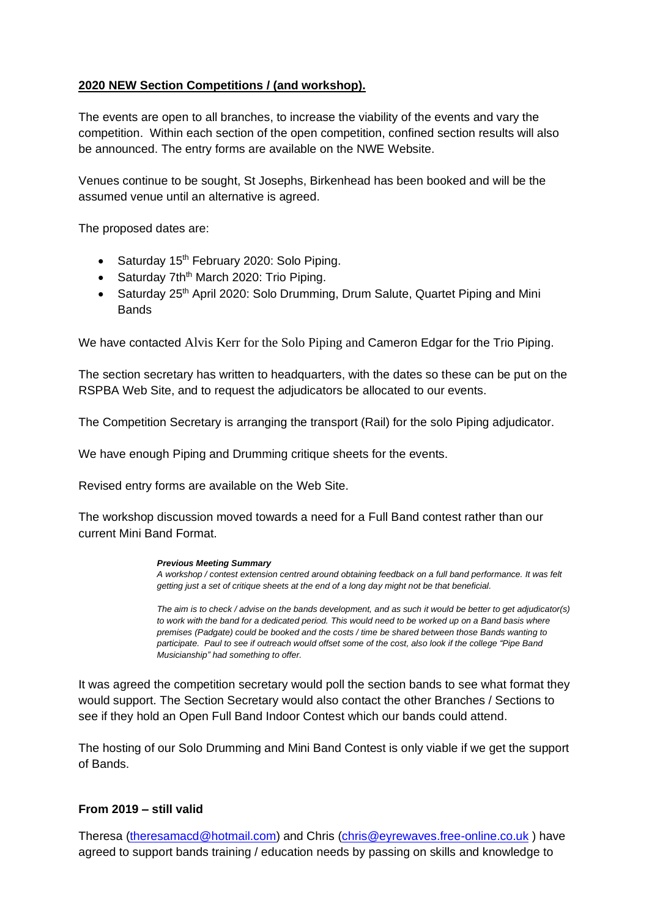### **2020 NEW Section Competitions / (and workshop).**

The events are open to all branches, to increase the viability of the events and vary the competition. Within each section of the open competition, confined section results will also be announced. The entry forms are available on the NWE Website.

Venues continue to be sought, St Josephs, Birkenhead has been booked and will be the assumed venue until an alternative is agreed.

The proposed dates are:

- Saturday 15<sup>th</sup> February 2020: Solo Piping.
- Saturday 7th<sup>th</sup> March 2020: Trio Piping.
- Saturday 25<sup>th</sup> April 2020: Solo Drumming, Drum Salute, Quartet Piping and Mini Bands

We have contacted Alvis Kerr for the Solo Piping and Cameron Edgar for the Trio Piping.

The section secretary has written to headquarters, with the dates so these can be put on the RSPBA Web Site, and to request the adjudicators be allocated to our events.

The Competition Secretary is arranging the transport (Rail) for the solo Piping adjudicator.

We have enough Piping and Drumming critique sheets for the events.

Revised entry forms are available on the Web Site.

The workshop discussion moved towards a need for a Full Band contest rather than our current Mini Band Format.

#### *Previous Meeting Summary*

*A workshop / contest extension centred around obtaining feedback on a full band performance. It was felt getting just a set of critique sheets at the end of a long day might not be that beneficial.*

*The aim is to check / advise on the bands development, and as such it would be better to get adjudicator(s) to work with the band for a dedicated period. This would need to be worked up on a Band basis where premises (Padgate) could be booked and the costs / time be shared between those Bands wanting to participate. Paul to see if outreach would offset some of the cost, also look if the college "Pipe Band Musicianship" had something to offer.*

It was agreed the competition secretary would poll the section bands to see what format they would support. The Section Secretary would also contact the other Branches / Sections to see if they hold an Open Full Band Indoor Contest which our bands could attend.

The hosting of our Solo Drumming and Mini Band Contest is only viable if we get the support of Bands.

#### **From 2019 – still valid**

Theresa [\(theresamacd@hotmail.com\)](mailto:theresamacd@hotmail.com) and Chris [\(chris@eyrewaves.free-online.co.uk](mailto:chris@eyrewaves.free-online.co.uk) ) have agreed to support bands training / education needs by passing on skills and knowledge to